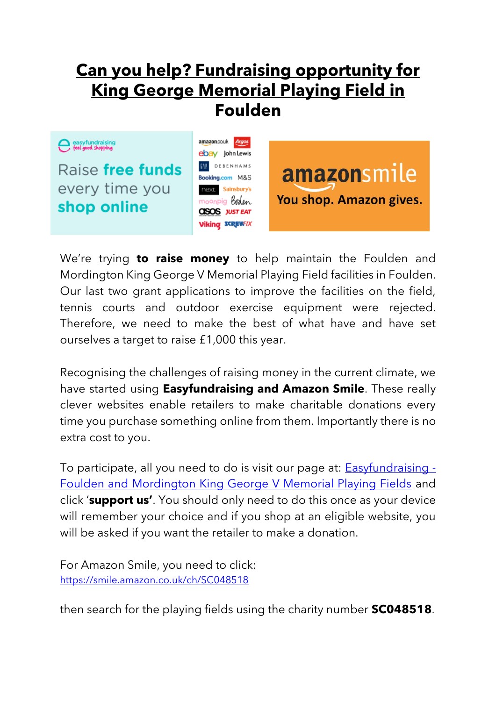## **Can you help? Fundraising opportunity for King George Memorial Playing Field in Foulden**

easyfundraising

Raise free funds every time you shop online



amazonsmile You shop. Amazon gives.

We're trying **to raise money** to help maintain the Foulden and Mordington King George V Memorial Playing Field facilities in Foulden. Our last two grant applications to improve the facilities on the field, tennis courts and outdoor exercise equipment were rejected. Therefore, we need to make the best of what have and have set ourselves a target to raise £1,000 this year.

Recognising the challenges of raising money in the current climate, we have started using **Easyfundraising and Amazon Smile**. These really clever websites enable retailers to make charitable donations every time you purchase something online from them. Importantly there is no extra cost to you.

To participate, all you need to do is visit our page at: **Easyfundraising** -[Foulden and Mordington King George V Memorial Playing Fields](https://www.easyfundraising.org.uk/causes/fouldenmordingtonplayfld/?utm_campaign=raise-more&utm_content=en-e3) and click '**support us'**. You should only need to do this once as your device will remember your choice and if you shop at an eligible website, you will be asked if you want the retailer to make a donation.

For Amazon Smile, you need to click: <https://smile.amazon.co.uk/ch/SC048518>

then search for the playing fields using the charity number **SC048518**.